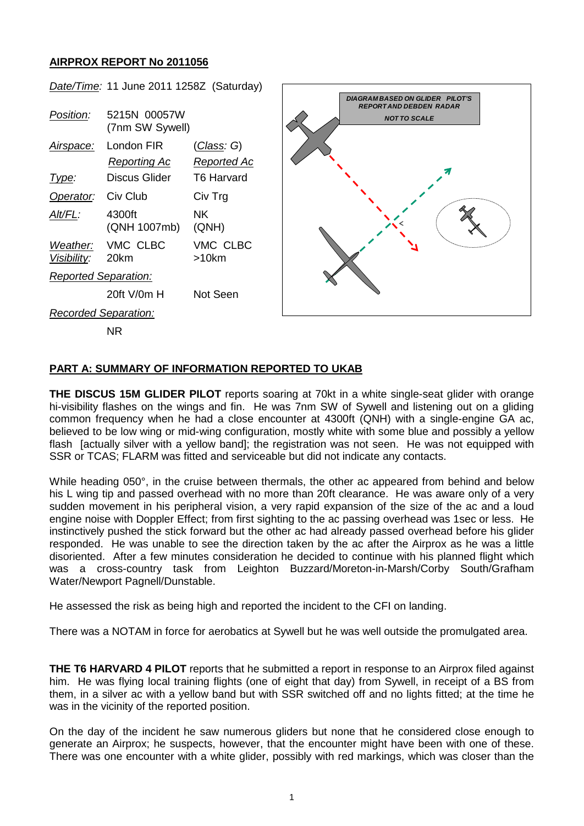## **AIRPROX REPORT No 2011056**



## **PART A: SUMMARY OF INFORMATION REPORTED TO UKAB**

**THE DISCUS 15M GLIDER PILOT** reports soaring at 70kt in a white single-seat glider with orange hi-visibility flashes on the wings and fin. He was 7nm SW of Sywell and listening out on a gliding common frequency when he had a close encounter at 4300ft (QNH) with a single-engine GA ac, believed to be low wing or mid-wing configuration, mostly white with some blue and possibly a yellow flash [actually silver with a yellow band]; the registration was not seen. He was not equipped with SSR or TCAS; FLARM was fitted and serviceable but did not indicate any contacts.

While heading 050°, in the cruise between thermals, the other ac appeared from behind and below his L wing tip and passed overhead with no more than 20ft clearance. He was aware only of a very sudden movement in his peripheral vision, a very rapid expansion of the size of the ac and a loud engine noise with Doppler Effect; from first sighting to the ac passing overhead was 1sec or less. He instinctively pushed the stick forward but the other ac had already passed overhead before his glider responded. He was unable to see the direction taken by the ac after the Airprox as he was a little disoriented. After a few minutes consideration he decided to continue with his planned flight which was a cross-country task from Leighton Buzzard/Moreton-in-Marsh/Corby South/Grafham Water/Newport Pagnell/Dunstable.

He assessed the risk as being high and reported the incident to the CFI on landing.

There was a NOTAM in force for aerobatics at Sywell but he was well outside the promulgated area.

**THE T6 HARVARD 4 PILOT** reports that he submitted a report in response to an Airprox filed against him. He was flying local training flights (one of eight that day) from Sywell, in receipt of a BS from them, in a silver ac with a yellow band but with SSR switched off and no lights fitted; at the time he was in the vicinity of the reported position.

On the day of the incident he saw numerous gliders but none that he considered close enough to generate an Airprox; he suspects, however, that the encounter might have been with one of these. There was one encounter with a white glider, possibly with red markings, which was closer than the